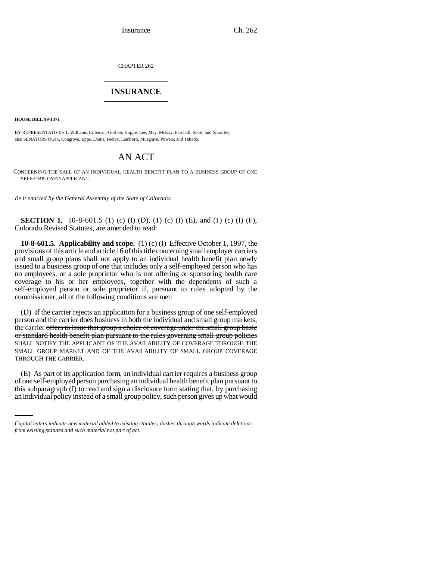Insurance Ch. 262

CHAPTER 262 \_\_\_\_\_\_\_\_\_\_\_\_\_\_\_

## **INSURANCE** \_\_\_\_\_\_\_\_\_\_\_\_\_\_\_

**HOUSE BILL 99-1371**

BY REPRESENTATIVES T. Williams, Coleman, Gotlieb, Hoppe, Lee, May, McKay, Paschall, Scott, and Spradley; also SENATORS Owen, Congrove, Epps, Evans, Feeley, Lamborn, Musgrave, Powers, and Tebedo.

## AN ACT

CONCERNING THE SALE OF AN INDIVIDUAL HEALTH BENEFIT PLAN TO A BUSINESS GROUP OF ONE SELF-EMPLOYED APPLICANT.

*Be it enacted by the General Assembly of the State of Colorado:*

**SECTION 1.** 10-8-601.5 (1) (c) (I) (D), (1) (c) (I) (E), and (1) (c) (I) (F), Colorado Revised Statutes, are amended to read:

**10-8-601.5. Applicability and scope.** (1) (c) (I) Effective October 1, 1997, the provisions of this article and article 16 of this title concerning small employer carriers and small group plans shall not apply to an individual health benefit plan newly issued to a business group of one that includes only a self-employed person who has no employees, or a sole proprietor who is not offering or sponsoring health care coverage to his or her employees, together with the dependents of such a self-employed person or sole proprietor if, pursuant to rules adopted by the commissioner, all of the following conditions are met:

(D) If the carrier rejects an application for a business group of one self-employed person and the carrier does business in both the individual and small group markets, the carrier offers to issue that group a choice of coverage under the small group basic or standard health benefit plan pursuant to the rules governing small group policies SHALL NOTIFY THE APPLICANT OF THE AVAILABILITY OF COVERAGE THROUGH THE SMALL GROUP MARKET AND OF THE AVAILABILITY OF SMALL GROUP COVERAGE THROUGH THE CARRIER.

of one self-employed person purchasing an individual health benefit plan pursuant to (E) As part of its application form, an individual carrier requires a business group this subparagraph (I) to read and sign a disclosure form stating that, by purchasing an individual policy instead of a small group policy, such person gives up what would

*Capital letters indicate new material added to existing statutes; dashes through words indicate deletions from existing statutes and such material not part of act.*